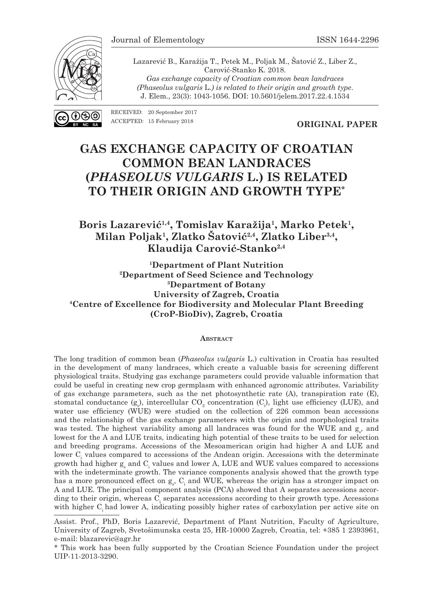

ഭ്രര

Lazarević B., Karažija T., Petek M., Poljak M., Šatović Z., Liber Z., Carović-Stanko K. 2018. *Gas exchange capacity of Croatian common bean landraces (Phaseolus vulgaris* L.*) is related to their origin and growth type*. J. Elem., 23(3): 1043-1056. DOI: 10.5601/jelem.2017.22.4.1534

RECEIVED: 20 September 2017 ACCEPTED: 15 February 2018

**ORIGINAL PAPER**

# **GAS EXCHANGE CAPACITY OF CROATIAN COMMON BEAN LANDRACES (***PHASEOLUS VULGARIS* **L.) IS RELATED TO THEIR ORIGIN AND GROWTH TYPE\***

# **Boris Lazarević1,4, Tomislav Karažija1, Marko Petek1, Milan Poljak1, Zlatko Šatović2,4, Zlatko Liber3,4, Klaudija Carović-Stanko2,4**

**1Department of Plant Nutrition 2Department of Seed Science and Technology 3Department of Botany University of Zagreb, Croatia 4Centre of Excellence for Biodiversity and Molecular Plant Breeding (CroP-BioDiv), Zagreb, Croatia**

#### **Abstract**

The long tradition of common bean (*Phaseolus vulgaris* L.) cultivation in Croatia has resulted in the development of many landraces, which create a valuable basis for screening different physiological traits. Studying gas exchange parameters could provide valuable information that could be useful in creating new crop germplasm with enhanced agronomic attributes. Variability of gas exchange parameters, such as the net photosynthetic rate (A), transpiration rate (E), stomatal conductance  $(g_s)$ , intercellular  $CO_2$  concentration  $(C_i)$ , light use efficiency (LUE), and water use efficiency (WUE) were studied on the collection of 226 common bean accessions and the relationship of the gas exchange parameters with the origin and morphological traits was tested. The highest variability among all landraces was found for the WUE and  $g_s$ , and lowest for the A and LUE traits, indicating high potential of these traits to be used for selection and breeding programs. Accessions of the Mesoamerican origin had higher A and LUE and lower  $C<sub>i</sub>$  values compared to accessions of the Andean origin. Accessions with the determinate growth had higher  $g_s$  and  $C_i$  values and lower A, LUE and WUE values compared to accessions with the indeterminate growth. The variance components analysis showed that the growth type has a more pronounced effect on  $g_s$ ,  $C_i$  and WUE, whereas the origin has a stronger impact on A and LUE. The principal component analysis (PCA) showed that A separates accessions according to their origin, whereas  $C<sub>i</sub>$  separates accessions according to their growth type. Accessions with higher C<sub>i</sub> had lower A, indicating possibly higher rates of carboxylation per active site on

Assist. Prof., PhD, Boris Lazarević, Department of Plant Nutrition, Faculty of Agriculture, University of Zagreb, Svetošimunska cesta 25, HR-10000 Zagreb, Croatia, tel: +385 1 2393961, e-mail: blazarevic@agr.hr

<sup>\*</sup> This work has been fully supported by the Croatian Science Foundation under the project UIP-11-2013-3290.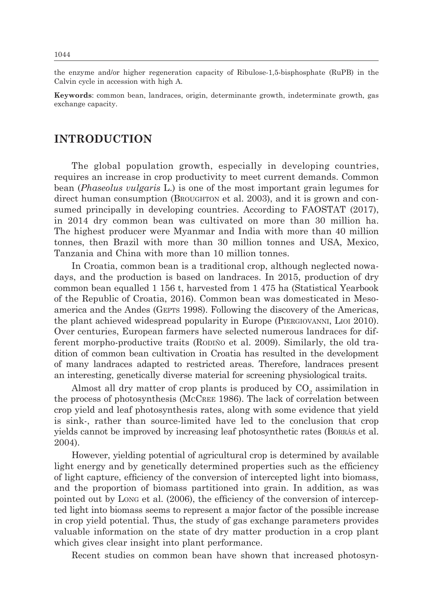the enzyme and/or higher regeneration capacity of Ribulose-1,5-bisphosphate (RuPB) in the Calvin cycle in accession with high A.

**Keywords**: common bean, landraces, origin, determinante growth, indeterminate growth, gas exchange capacity.

### **INTRODUCTION**

The global population growth, especially in developing countries, requires an increase in crop productivity to meet current demands. Common bean (*Phaseolus vulgaris* L.) is one of the most important grain legumes for direct human consumption (BROUGHTON et al. 2003), and it is grown and consumed principally in developing countries. According to FAOSTAT (2017), in 2014 dry common bean was cultivated on more than 30 million ha. The highest producer were Myanmar and India with more than 40 million tonnes, then Brazil with more than 30 million tonnes and USA, Mexico, Tanzania and China with more than 10 million tonnes.

In Croatia, common bean is a traditional crop, although neglected nowadays, and the production is based on landraces. In 2015, production of dry common bean equalled 1 156 t, harvested from 1 475 ha (Statistical Yearbook of the Republic of Croatia, 2016). Common bean was domesticated in Mesoamerica and the Andes (GEPTS 1998). Following the discovery of the Americas, the plant achieved widespread popularity in Europe (Piergiovanni, Lioi 2010). Over centuries, European farmers have selected numerous landraces for different morpho-productive traits (Rodiño et al. 2009). Similarly, the old tradition of common bean cultivation in Croatia has resulted in the development of many landraces adapted to restricted areas. Therefore, landraces present an interesting, genetically diverse material for screening physiological traits.

Almost all dry matter of crop plants is produced by  $\mathrm{CO}_2$  assimilation in the process of photosynthesis (McCree 1986). The lack of correlation between crop yield and leaf photosynthesis rates, along with some evidence that yield is sink-, rather than source-limited have led to the conclusion that crop yields cannot be improved by increasing leaf photosynthetic rates (Borrás et al. 2004).

However, yielding potential of agricultural crop is determined by available light energy and by genetically determined properties such as the efficiency of light capture, efficiency of the conversion of intercepted light into biomass, and the proportion of biomass partitioned into grain. In addition, as was pointed out by Long et al. (2006), the efficiency of the conversion of intercepted light into biomass seems to represent a major factor of the possible increase in crop yield potential. Thus, the study of gas exchange parameters provides valuable information on the state of dry matter production in a crop plant which gives clear insight into plant performance.

Recent studies on common bean have shown that increased photosyn-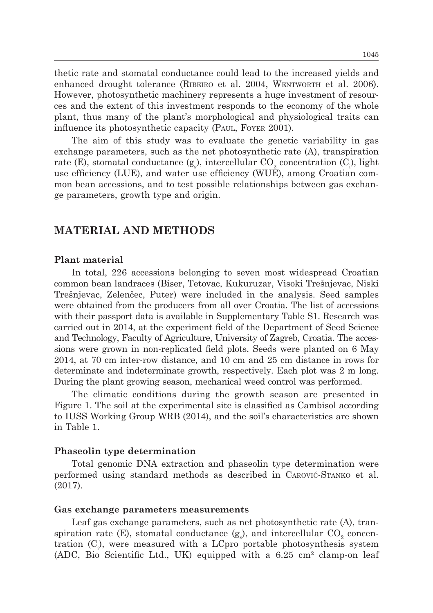thetic rate and stomatal conductance could lead to the increased yields and enhanced drought tolerance (Ribeiro et al. 2004, Wentworth et al. 2006). However, photosynthetic machinery represents a huge investment of resources and the extent of this investment responds to the economy of the whole plant, thus many of the plant's morphological and physiological traits can influence its photosynthetic capacity (Paul, Foyer 2001).

The aim of this study was to evaluate the genetic variability in gas exchange parameters, such as the net photosynthetic rate (A), transpiration rate (E), stomatal conductance (g<sub>s</sub>), intercellular CO<sub>2</sub> concentration (C<sub>i</sub>), light use efficiency (LUE), and water use efficiency (WUE), among Croatian common bean accessions, and to test possible relationships between gas exchange parameters, growth type and origin.

### **MATERIAL AND METHODS**

#### **Plant material**

In total, 226 accessions belonging to seven most widespread Croatian common bean landraces (Biser, Tetovac, Kukuruzar, Visoki Trešnjevac, Niski Trešnjevac, Zelenčec, Puter) were included in the analysis. Seed samples were obtained from the producers from all over Croatia. The list of accessions with their passport data is available in Supplementary Table S1. Research was carried out in 2014, at the experiment field of the Department of Seed Science and Technology, Faculty of Agriculture, University of Zagreb, Croatia. The accessions were grown in non-replicated field plots. Seeds were planted on 6 May 2014, at 70 cm inter-row distance, and 10 cm and 25 cm distance in rows for determinate and indeterminate growth, respectively. Each plot was 2 m long. During the plant growing season, mechanical weed control was performed.

The climatic conditions during the growth season are presented in Figure 1. The soil at the experimental site is classified as Cambisol according to IUSS Working Group WRB (2014), and the soil's characteristics are shown in Table 1.

#### **Phaseolin type determination**

Total genomic DNA extraction and phaseolin type determination were performed using standard methods as described in Carović-Stanko et al. (2017).

#### **Gas exchange parameters measurements**

Leaf gas exchange parameters, such as net photosynthetic rate (A), transpiration rate (E), stomatal conductance (g<sub>s</sub>), and intercellular  $\mathrm{CO}_2$  concentration  $(C_i)$ , were measured with a LCpro portable photosynthesis system (ADC, Bio Scientific Ltd., UK) equipped with a  $6.25 \text{ cm}^2$  clamp-on leaf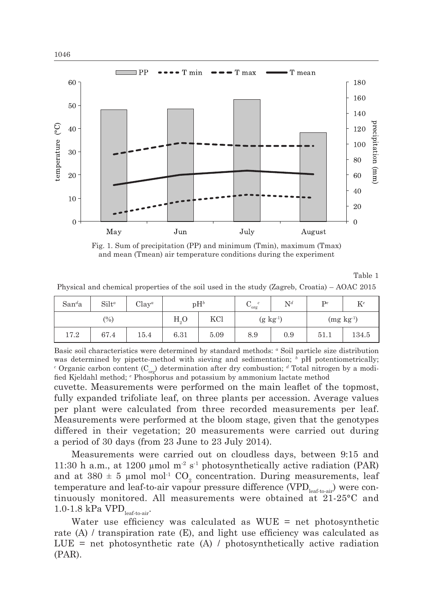

Fig. 1. Sum of precipitation (PP) and minimum (Tmin), maximum (Tmax) and mean (Tmean) air temperature conditions during the experiment

Table 1

Physical and chemical properties of the soil used in the study (Zagreb, Croatia) – AOAC 2015

| San <sup>d</sup> a | $Silt^a$          | $Clay^a$ | $pH^b$         |      | c<br>◡<br>org | $\mathrm{N}^d$   | $\mathbf{p}$ e | $K^e$ |  |
|--------------------|-------------------|----------|----------------|------|---------------|------------------|----------------|-------|--|
|                    | $\left(\%\right)$ |          | H <sub>0</sub> | KCl  |               | $(g \; kg^{-1})$ | $(mg kg-1)$    |       |  |
| 17.2               | 67.4              | 15.4     | 6.31           | 5.09 | 8.9           | 0.9              | 51.1           | 134.5 |  |

Basic soil characteristics were determined by standard methods: *<sup>a</sup>* Soil particle size distribution was determined by pipette-method with sieving and sedimentation; <sup>*b*</sup> pH potentiometrically; <sup>*c*</sup> Organic carbon content (C<sub>org</sub>) determination after dry combustion; <sup>*d*</sup> Total nitrogen by a modified Kjeldahl method; *<sup>e</sup>* Phosphorus and potassium by ammonium lactate method

cuvette. Measurements were performed on the main leaflet of the topmost, fully expanded trifoliate leaf, on three plants per accession. Average values per plant were calculated from three recorded measurements per leaf. Measurements were performed at the bloom stage, given that the genotypes differed in their vegetation; 20 measurements were carried out during a period of 30 days (from 23 June to 23 July 2014).

Measurements were carried out on cloudless days, between 9:15 and 11:30 h a.m., at 1200  $\mu$ mol m<sup>-2</sup> s<sup>-1</sup> photosynthetically active radiation (PAR) and at  $380 \pm 5$  µmol mol<sup>-1</sup> CO<sub>2</sub> concentration. During measurements, leaf temperature and leaf-to-air vapour pressure difference  $(VPD_{\text{leaf-to-air}})$  were continuously monitored. All measurements were obtained at 21-25°C and 1.0-1.8 kPa  $VPD$ <sub>leaf-to-air</sub>.

Water use efficiency was calculated as  $WUE = net photosynthetic$ rate (A) / transpiration rate (E), and light use efficiency was calculated as  $LUE = net photosynthetic rate (A) / photosynthetic cally active radiation$ (PAR).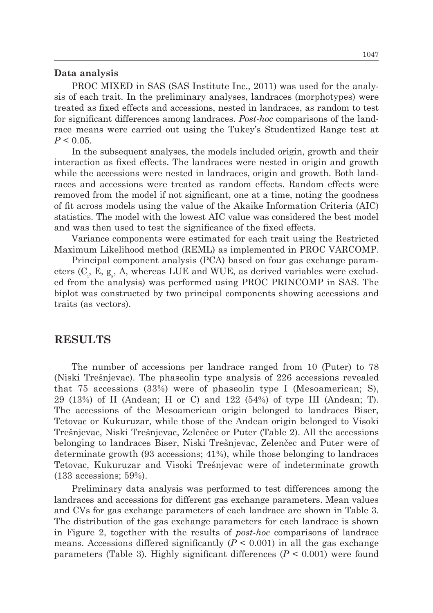#### **Data analysis**

PROC MIXED in SAS (SAS Institute Inc., 2011) was used for the analysis of each trait. In the preliminary analyses, landraces (morphotypes) were treated as fixed effects and accessions, nested in landraces, as random to test for significant differences among landraces. *Post-hoc* comparisons of the landrace means were carried out using the Tukey's Studentized Range test at  $P < 0.05$ .

In the subsequent analyses, the models included origin, growth and their interaction as fixed effects. The landraces were nested in origin and growth while the accessions were nested in landraces, origin and growth. Both landraces and accessions were treated as random effects. Random effects were removed from the model if not significant, one at a time, noting the goodness of fit across models using the value of the Akaike Information Criteria (AIC) statistics. The model with the lowest AIC value was considered the best model and was then used to test the significance of the fixed effects.

Variance components were estimated for each trait using the Restricted Maximum Likelihood method (REML) as implemented in PROC VARCOMP.

Principal component analysis (PCA) based on four gas exchange parameters  $(C_i, E, g_s, A$ , whereas LUE and WUE, as derived variables were excluded from the analysis) was performed using PROC PRINCOMP in SAS. The biplot was constructed by two principal components showing accessions and traits (as vectors).

### **RESULTS**

The number of accessions per landrace ranged from 10 (Puter) to 78 (Niski Trešnjevac). The phaseolin type analysis of 226 accessions revealed that 75 accessions (33%) were of phaseolin type I (Mesoamerican; S), 29 (13%) of II (Andean; H or C) and 122 (54%) of type III (Andean; T). The accessions of the Mesoamerican origin belonged to landraces Biser, Tetovac or Kukuruzar, while those of the Andean origin belonged to Visoki Trešnjevac, Niski Trešnjevac, Zelenčec or Puter (Table 2). All the accessions belonging to landraces Biser, Niski Trešnjevac, Zelenčec and Puter were of determinate growth (93 accessions; 41%), while those belonging to landraces Tetovac, Kukuruzar and Visoki Trešnjevac were of indeterminate growth (133 accessions; 59%).

Preliminary data analysis was performed to test differences among the landraces and accessions for different gas exchange parameters. Mean values and CVs for gas exchange parameters of each landrace are shown in Table 3. The distribution of the gas exchange parameters for each landrace is shown in Figure 2, together with the results of *post-hoc* comparisons of landrace means. Accessions differed significantly  $(P < 0.001)$  in all the gas exchange parameters (Table 3). Highly significant differences (*P* < 0.001) were found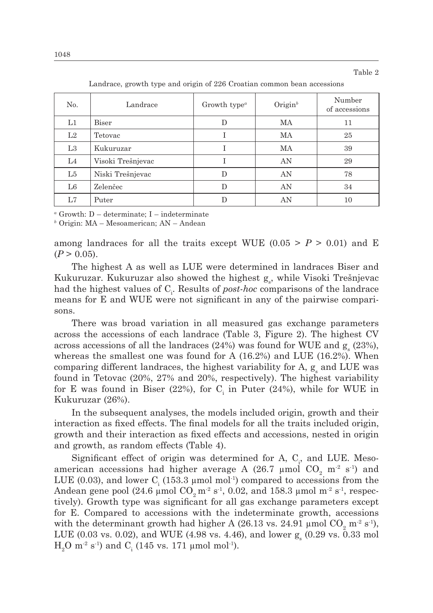Table 2

| No.            | Landrace          | Growth type <sup><math>a</math></sup> | $O$ rigin <sup>b</sup> | Number<br>of accessions |
|----------------|-------------------|---------------------------------------|------------------------|-------------------------|
| L1             | Biser             | D                                     | MA                     | 11                      |
| L2             | Tetovac           |                                       | MA                     | 25                      |
| L3             | Kukuruzar         |                                       | МA                     | 39                      |
| L <sub>4</sub> | Visoki Trešnjevac |                                       | AN                     | 29                      |
| L5             | Niski Trešnjevac  | D                                     | AN                     | 78                      |
| L <sub>6</sub> | Zelenčec          | D                                     | AN                     | 34                      |
| L7             | Puter             | D                                     | AN                     | 10                      |

Landrace, growth type and origin of 226 Croatian common bean accessions

*<sup>a</sup>* Growth: D – determinate; I – indeterminate

*b* Origin: MA – Mesoamerican; AN – Andean

among landraces for all the traits except WUE  $(0.05 > P > 0.01)$  and E  $(P > 0.05)$ .

The highest A as well as LUE were determined in landraces Biser and Kukuruzar. Kukuruzar also showed the highest g<sub>s</sub>, while Visoki Trešnjevac had the highest values of C<sub>i</sub>. Results of *post-hoc* comparisons of the landrace means for E and WUE were not significant in any of the pairwise comparisons.

There was broad variation in all measured gas exchange parameters across the accessions of each landrace (Table 3, Figure 2). The highest CV across accessions of all the landraces  $(24%)$  was found for WUE and  $g<sub>s</sub>$   $(23%),$ whereas the smallest one was found for A  $(16.2%)$  and LUE  $(16.2%)$ . When comparing different landraces, the highest variability for A,  $g_s$  and LUE was found in Tetovac (20%, 27% and 20%, respectively). The highest variability for E was found in Biser (22%), for  $C_i$  in Puter (24%), while for WUE in Kukuruzar (26%).

In the subsequent analyses, the models included origin, growth and their interaction as fixed effects. The final models for all the traits included origin, growth and their interaction as fixed effects and accessions, nested in origin and growth, as random effects (Table 4).

Significant effect of origin was determined for A,  $C_i$ , and LUE. Mesoamerican accessions had higher average A (26.7  $\mu$ mol CO<sub>2</sub> m<sup>-2</sup> s<sup>-1</sup>) and LUE (0.03), and lower  $C<sub>i</sub>$  (153.3 µmol mol<sup>-1</sup>) compared to accessions from the Andean gene pool (24.6 µmol  $CO<sub>2</sub>$  m<sup>-2</sup> s<sup>-1</sup>, 0.02, and 158.3 µmol m<sup>-2</sup> s<sup>-1</sup>, respectively). Growth type was significant for all gas exchange parameters except for E. Compared to accessions with the indeterminate growth, accessions with the determinant growth had higher A (26.13 vs. 24.91  $\mu$ mol CO<sub>2</sub> m<sup>-2</sup> s<sup>-1</sup>), LUE (0.03 vs. 0.02), and WUE (4.98 vs. 4.46), and lower  $g_s(0.29 \text{ vs. } 0.33 \text{ mol})$  $\rm H_2O$  m<sup>-2</sup> s<sup>-1</sup>) and  $\rm C_i$  (145 vs. 171 µmol mol<sup>-1</sup>).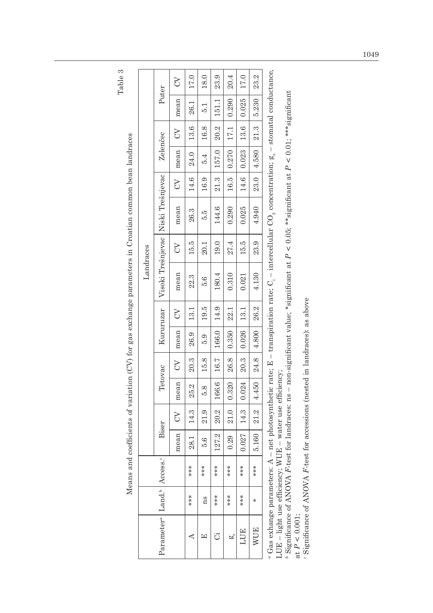Table 3

Means and coefficients of variation (CV) for gas exchange parameters in Croatian common bean landraces

Means and coefficients of variation (CV) for gas exchange parameters in Croatian common bean landraces

|                        |                      |                     |       |                |         |               |           |          |                                                                                                                                                                                                                          | Landraces |                                    |               |              |       |               |       |
|------------------------|----------------------|---------------------|-------|----------------|---------|---------------|-----------|----------|--------------------------------------------------------------------------------------------------------------------------------------------------------------------------------------------------------------------------|-----------|------------------------------------|---------------|--------------|-------|---------------|-------|
| Parameter <sup>a</sup> | Land $\frac{1}{2}$ . | ccess. <sup>c</sup> |       | Biser          | Tetovac |               | Kururuzar |          |                                                                                                                                                                                                                          |           | Visoki Trešnjevac Niski Trešnjevac |               | Zelenčec     |       | Puter         |       |
|                        |                      |                     | mean  | $\Im$          | mean    | $\mathcal{E}$ | mean      | $\infty$ | mean                                                                                                                                                                                                                     | S         | mean                               | $\mathcal{L}$ | mean         | $\Im$ | mean          | $\Im$ |
| ⋖                      | ***                  | ***                 | 28.1  | 14.3           | 25.2    | 20.3          | 26.9      | 13.1     | 22.3                                                                                                                                                                                                                     | 15.5      | 26.3                               | 14.6          | 24.0         | 13.6  | 26.1          | 17.0  |
|                        | ns                   | ***                 | 5.6   | 21.9           | 5.8     | 15.8          | 5.9       | 19.5     | 5.6                                                                                                                                                                                                                      | 20.1      | Б.                                 | 16.9          | 5.4          | 16.8  | $\frac{1}{5}$ | 18.0  |
| ت                      | $***$                | $***$               | 127.2 | 20.2           | 166.6   | 16.7          | 166.0     | 14.9     | 180.4                                                                                                                                                                                                                    | 19.0      | 144.6                              | 21.3          | 157.0        | 20.2  | 151.1         | 23.9  |
| ã                      | $***$                | $***$               | 0.29  | 21.0           | 0.320   | 26.8   0.350  |           | 22.1     | 0.310                                                                                                                                                                                                                    | 27.4      | 0.290                              |               | 16.5   0.270 | 17.1  | 0.290         | 20.4  |
| <b>LUE</b>             | ***                  | ***                 | 0.027 | 14.3           | 0.024   | 20.3          | 0.026     | 13.1     | 0.021                                                                                                                                                                                                                    | 15.5      | 0.025                              | 14.6          | 0.023        | 13.6  | 0.025         | 17.0  |
| <b>WUE</b>             | $\ast$               | ***                 | 5.160 | $\boxed{21.2}$ | 14.450  | 24.8          | 4.800     | 26.2     | 4.130                                                                                                                                                                                                                    | 23.9      | 4.940                              |               | 23.0   4.580 | 21.3  | 5.230         | 23.2  |
| tage avhanga naramat   |                      |                     |       |                |         |               |           |          | are: $\Delta$ $\equiv$ not photographetic rate: $\bar{R}$ $\equiv$ transmission rate: $C = \text{intess} C \cap \text{convex}_{\text{part}}$ and ratio $\bar{r}$ $\equiv$ $\pm \text{convat}_{\text{right}}$ conducts no |           |                                    |               |              |       |               |       |

*a* Gas exhange parameters: A – net photosynthetic rate; E – transpiration rate; C<sub>i</sub> – intercellular CO<sub>2</sub> concentration;  $g_s$  – stomatal conductance, stomatai conductance,  $\mu$  is the complementation,  $\mathbf{g}_s$ transpiration rate; U. " vas exnange parameters:  $A$  – net pnotosynthetic rate;  $B$  -<br>LUE – light use efficiency; WUE – water use efficiency; LUE – light use efficiency; WUE – water use efficiency;

<sup>b</sup> Significance of ANOVA *F*-test for landraces: ns – non-significant value; \*significant at  $P < 0.05$ ; \*\*significant at  $P < 0.01$ ; \*\*\*significant *b* Significance of ANOVA *F*-test for landraces: ns – non-significant value; \*significant at *P* < 0.05; \*\*significant at *P* < 0.01; \*\*\*significant at  $P < 0.001$ ; at  $P < 0.001$ ;

' Significance of ANOVA F-test for accessions (nested in landraces): as above *c* Significance of ANOVA *F*-test for accessions (nested in landraces): as above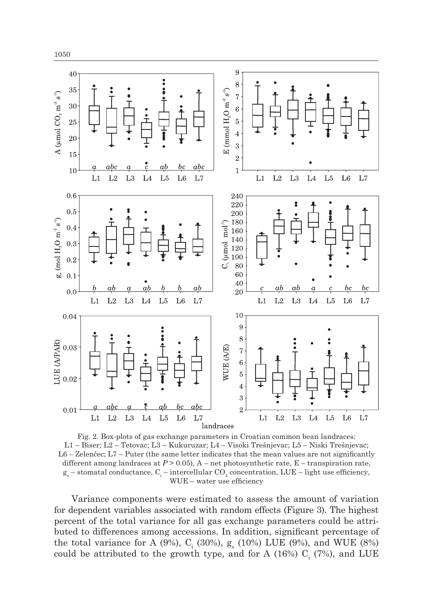

Fig. 2. Box-plots of gas exchange parameters in Croatian common bean landraces: L1 – Biser; L2 – Tetovac; L3 – Kukuruzar; L4 – Visoki Trešnjevac; L5 – Niski Trešnjevac; L6 – Zelenčec; L7 – Puter (the same letter indicates that the mean values are not significantly different among landraces at *P* > 0.05), A – net photosynthetic rate, E – transpiration rate,  $g_s$  – stomatal conductance,  $C_i$  – intercellular  $CO_2$  concentration,  $LUE$  – light use efficiency, WUE – water use efficiency

Variance components were estimated to assess the amount of variation for dependent variables associated with random effects (Figure 3). The highest percent of the total variance for all gas exchange parameters could be attributed to differences among accessions. In addition, significant percentage of the total variance for A (9%),  $C_i$  (30%),  $g_s$  (10%) LUE (9%), and WUE (8%) could be attributed to the growth type, and for A (16%)  $C_i$  (7%), and LUE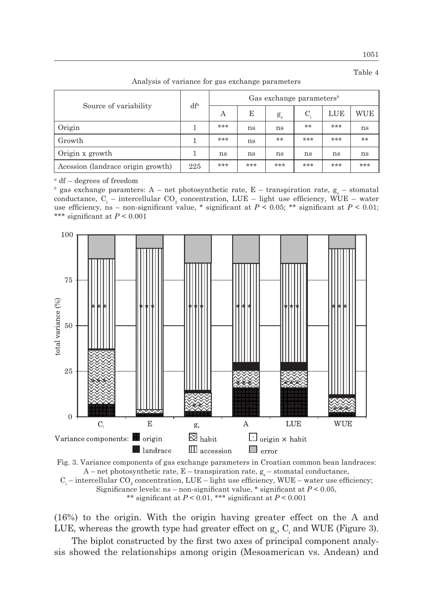1051 Table 4

|                                   | $df^a$ | Gas exchange parameters <sup>b</sup> |     |             |     |     |     |  |
|-----------------------------------|--------|--------------------------------------|-----|-------------|-----|-----|-----|--|
| Source of variability             |        | A                                    | E   | $g_{\rm s}$ | C.  | LUE | WUE |  |
| Origin                            |        | ***                                  | ns  | ns          | **  | *** | ns  |  |
| Growth                            |        | ***                                  | ns  | **          | *** | *** | **  |  |
| Origin x growth                   |        | ns                                   | ns  | ns          | ns  | ns  | ns  |  |
| Acession (landrace origin growth) | 225    | ***                                  | *** | ***         | *** | *** | *** |  |

Analysis of variance for gas exchange parameters

*<sup>a</sup>* df – degrees of freedom

<sup>*b*</sup> gas exchange paramters: A – net photosynthetic rate, E – transpiration rate,  $g_s$  – stomatal conductance,  $C_i$  – intercellular  $CO_2$  concentration, LUE – light use efficiency, WUE – water use efficiency, ns – non-significant value, \* significant at  $P < 0.05$ ; \*\* significant at  $P < 0.01$ ; \*\*\* significant at *P* < 0.001



![](_page_8_Figure_6.jpeg)

(16%) to the origin. With the origin having greater effect on the A and LUE, whereas the growth type had greater effect on  $g_s$ ,  $C_i$  and WUE (Figure 3).

The biplot constructed by the first two axes of principal component analysis showed the relationships among origin (Mesoamerican vs. Andean) and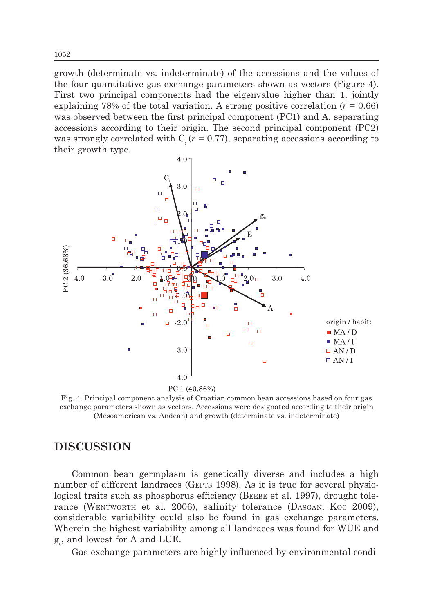growth (determinate vs. indeterminate) of the accessions and the values of the four quantitative gas exchange parameters shown as vectors (Figure 4). First two principal components had the eigenvalue higher than 1, jointly explaining 78% of the total variation. A strong positive correlation  $(r = 0.66)$ was observed between the first principal component (PC1) and A, separating accessions according to their origin. The second principal component (PC2) was strongly correlated with  $C_i (r = 0.77)$ , separating accessions according to their growth type.

![](_page_9_Figure_1.jpeg)

Fig. 4. Principal component analysis of Croatian common bean accessions based on four gas exchange parameters shown as vectors. Accessions were designated according to their origin (Mesoamerican vs. Andean) and growth (determinate vs. indeterminate)

# **DISCUSSION**

Common bean germplasm is genetically diverse and includes a high number of different landraces (GEPTS 1998). As it is true for several physiological traits such as phosphorus efficiency (BEEBE et al. 1997), drought tolerance (WENTWORTH et al. 2006), salinity tolerance (DASGAN, Koc 2009), considerable variability could also be found in gas exchange parameters. Wherein the highest variability among all landraces was found for WUE and  $g_s$ , and lowest for A and LUE.

Gas exchange parameters are highly influenced by environmental condi-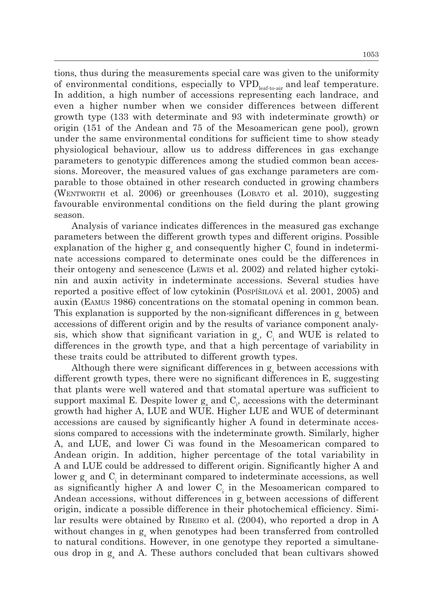tions, thus during the measurements special care was given to the uniformity of environmental conditions, especially to  $VPD_{\text{leaf-to-air}}$  and leaf temperature. In addition, a high number of accessions representing each landrace, and even a higher number when we consider differences between different growth type (133 with determinate and 93 with indeterminate growth) or origin (151 of the Andean and 75 of the Mesoamerican gene pool), grown under the same environmental conditions for sufficient time to show steady physiological behaviour, allow us to address differences in gas exchange parameters to genotypic differences among the studied common bean accessions. Moreover, the measured values of gas exchange parameters are comparable to those obtained in other research conducted in growing chambers (Wentworth et al. 2006) or greenhouses (Lobato et al. 2010), suggesting favourable environmental conditions on the field during the plant growing season.

Analysis of variance indicates differences in the measured gas exchange parameters between the different growth types and different origins. Possible explanation of the higher  $g_s$  and consequently higher  $C_i$  found in indeterminate accessions compared to determinate ones could be the differences in their ontogeny and senescence (Lewis et al. 2002) and related higher cytokinin and auxin activity in indeterminate accessions. Several studies have reported a positive effect of low cytokinin (Pospíšilová et al. 2001, 2005) and auxin (Eamus 1986) concentrations on the stomatal opening in common bean. This explanation is supported by the non-significant differences in  $g_s$  between accessions of different origin and by the results of variance component analysis, which show that significant variation in  $g_s$ ,  $C_i$  and WUE is related to differences in the growth type, and that a high percentage of variability in these traits could be attributed to different growth types.

Although there were significant differences in  $g_s$  between accessions with different growth types, there were no significant differences in E, suggesting that plants were well watered and that stomatal aperture was sufficient to support maximal E. Despite lower  $g_s$  and  $C_i$ , accessions with the determinant growth had higher A, LUE and WUE. Higher LUE and WUE of determinant accessions are caused by significantly higher A found in determinate accessions compared to accessions with the indeterminate growth. Similarly, higher A, and LUE, and lower Ci was found in the Mesoamerican compared to Andean origin. In addition, higher percentage of the total variability in A and LUE could be addressed to different origin. Significantly higher A and lower  $g_s$  and  $C_i$  in determinant compared to indeterminate accessions, as well as significantly higher A and lower  $C<sub>i</sub>$  in the Mesoamerican compared to Andean accessions, without differences in  $g_s$  between accessions of different origin, indicate a possible difference in their photochemical efficiency. Similar results were obtained by RIBEIRO et al. (2004), who reported a drop in A without changes in  $g_s$  when genotypes had been transferred from controlled to natural conditions. However, in one genotype they reported a simultaneous drop in  $g_s$  and A. These authors concluded that bean cultivars showed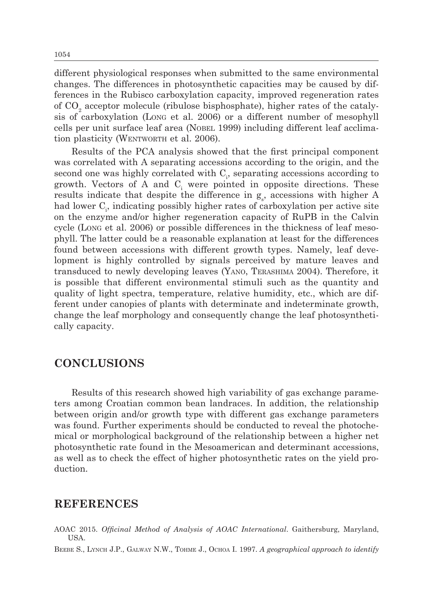different physiological responses when submitted to the same environmental changes. The differences in photosynthetic capacities may be caused by differences in the Rubisco carboxylation capacity, improved regeneration rates of  $\mathrm{CO}_2$  acceptor molecule (ribulose bisphosphate), higher rates of the catalysis of carboxylation (Long et al. 2006) or a different number of mesophyll cells per unit surface leaf area (Nobel 1999) including different leaf acclimation plasticity (WENTWORTH et al. 2006).

Results of the PCA analysis showed that the first principal component was correlated with A separating accessions according to the origin, and the second one was highly correlated with  $C_i$ , separating accessions according to growth. Vectors of A and  $C<sub>i</sub>$  were pointed in opposite directions. These results indicate that despite the difference in  $g_s$ , accessions with higher A had lower C<sub>1</sub>, indicating possibly higher rates of carboxylation per active site on the enzyme and/or higher regeneration capacity of RuPB in the Calvin cycle (Long et al. 2006) or possible differences in the thickness of leaf mesophyll. The latter could be a reasonable explanation at least for the differences found between accessions with different growth types. Namely, leaf development is highly controlled by signals perceived by mature leaves and transduced to newly developing leaves (Yano, Terashima 2004). Therefore, it is possible that different environmental stimuli such as the quantity and quality of light spectra, temperature, relative humidity, etc., which are different under canopies of plants with determinate and indeterminate growth, change the leaf morphology and consequently change the leaf photosynthetically capacity.

# **CONCLUSIONS**

Results of this research showed high variability of gas exchange parameters among Croatian common bean landraces. In addition, the relationship between origin and/or growth type with different gas exchange parameters was found. Further experiments should be conducted to reveal the photochemical or morphological background of the relationship between a higher net photosynthetic rate found in the Mesoamerican and determinant accessions, as well as to check the effect of higher photosynthetic rates on the yield production.

### **REFERENCES**

AOAC 2015. *Officinal Method of Analysis of AOAC International*. Gaithersburg, Maryland, USA.

Beebe S., Lynch J.P., Galway N.W., Tohme J., Ochoa I. 1997. *A geographical approach to identify*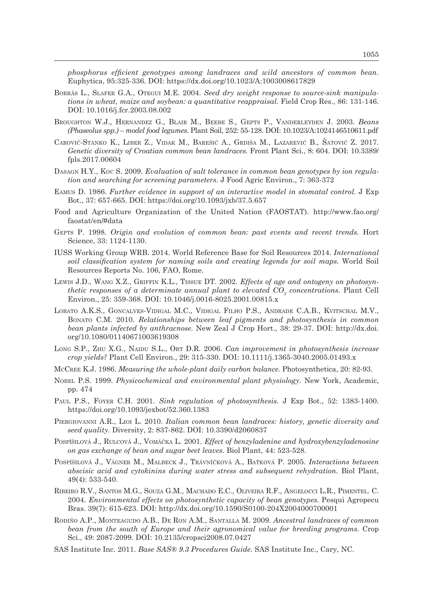*phosphorus efficient genotypes among landraces and wild ancestors of common bean*. Euphytica, 95:325-336. DOI: https://dx.doi.org/10.1023/A:1003008617829

- Borrás L., Slafer G.A., Otegui M.E. 2004. *Seed dry weight response to source-sink manipulations in wheat, maize and soybean: a quantitative reappraisal.* Field Crop Res., 86: 131-146. DOI: 10.1016/j.fcr.2003.08.002
- Broughton W.J., Hernandez G., Blair M., Beebe S., Gepts P., Vanderleyden J. 2003. *Beans (Phaseolus spp.) – model food legumes*. Plant Soil, 252: 55-128. DOI: 10.1023/A:1024146510611.pdf
- Carović-Stanko K., Liber Z., Vidak M., Barešić A., Grdiša M., Lazarević B., Šatović Z. 2017. *Genetic diversity of Croatian common bean landraces.* Front Plant Sci., 8: 604. DOI: 10.3389/ fpls.2017.00604
- Dasagn H.Y., Koc S. 2009. *Evaluation of salt tolerance in common bean genotypes by ion regulation and searching for screening parameters*. J Food Agric Environ., 7: 363-372
- Eamus D. 1986. *Further evidence in support of an interactive model in stomatal control.* J Exp Bot., 37: 657-665. DOI: https://doi.org/10.1093/jxb/37.5.657
- Food and Agriculture Organization of the United Nation (FAOSTAT). http://www.fao.org/ faostat/en/#data
- Gepts P. 1998. *Origin and evolution of common bean: past events and recent trends.* Hort Science, 33: 1124-1130.
- IUSS Working Group WRB. 2014. World Reference Base for Soil Resources 2014. *International soil classification system for naming soils and creating legends for soil maps*. World Soil Resources Reports No. 106, FAO, Rome.
- Lewis J.D., Wang X.Z., Griffin K.L., Tissue DT. 2002. *Effects of age and ontogeny on photosynthetic responses of a determinate annual plant to elevated CO<sup>2</sup> concentrations.* Plant Cell Environ., 25: 359-368. DOI: 10.1046/j.0016-8025.2001.00815.x
- Lobato A.K.S., Goncalves-Vidigal M.C., Vidigal Filho P.S., Andrade C.A.B., Kvitschal M.V., Bonato C.M. 2010. *Relationships between leaf pigments and photosynthesis in common bean plants infected by anthracnose.* New Zeal J Crop Hort., 38: 29-37. DOI: http://dx.doi. org/10.1080/01140671003619308
- Long S.P., Zhu X.G., Naidu S.L., Ort D.R. 2006. *Can improvement in photosynthesis increase crop yields?* Plant Cell Environ., 29: 315-330. DOI: 10.1111/j.1365-3040.2005.01493.x
- McCree K.J. 1986. *Measuring the whole-plant daily carbon balance.* Photosynthetica, 20: 82-93.
- Nobel P.S. 1999. *Physicochemical and environmental plant physiology*. New York, Academic, pp. 474
- Paul P.S., Foyer C.H. 2001. *Sink regulation of photosynthesis.* J Exp Bot., 52: 1383-1400. https://doi.org/10.1093/jexbot/52.360.1383
- Piergiovanni A.R., Lioi L. 2010. *Italian common bean landraces: history, genetic diversity and seed quality.* Diversity, 2: 837-862. DOI: 10.3390/d2060837
- Pospíšilová J., Rulcová J., Vomáčka L. 2001. *Effect of benzyladenine and hydroxybenzyladenosine on gas exchange of bean and sugar beet leaves.* Biol Plant, 44: 523-528.
- Pospíšilová J., Vágner M., Malbeck J., Trávníčková A., Baťková P. 2005. *Interactions between abscisic acid and cytokinins during water stress and subsequent rehydration.* Biol Plant, 49(4): 533-540.
- Ribeiro R.V., Santos M.G., Souza G.M., Machado E.C., Oliveira R.F., Angelocci L.R., Pimentel. C. 2004. *Environmental effects on photosynthetic capacity of bean genotypes.* Pesqui Agropecu Bras. 39(7): 615-623. DOI: http://dx.doi.org/10.1590/S0100-204X2004000700001
- Rodiño A.P., Monteagudo A.B., De Ron A.M., Santalla M. 2009. *Ancestral landraces of common bean from the south of Europe and their agronomical value for breeding programs.* Crop Sci., 49: 2087-2099. DOI: 10.2135/cropsci2008.07.0427
- SAS Institute Inc. 2011. *Base SAS® 9.3 Procedures Guide.* SAS Institute Inc., Cary, NC.